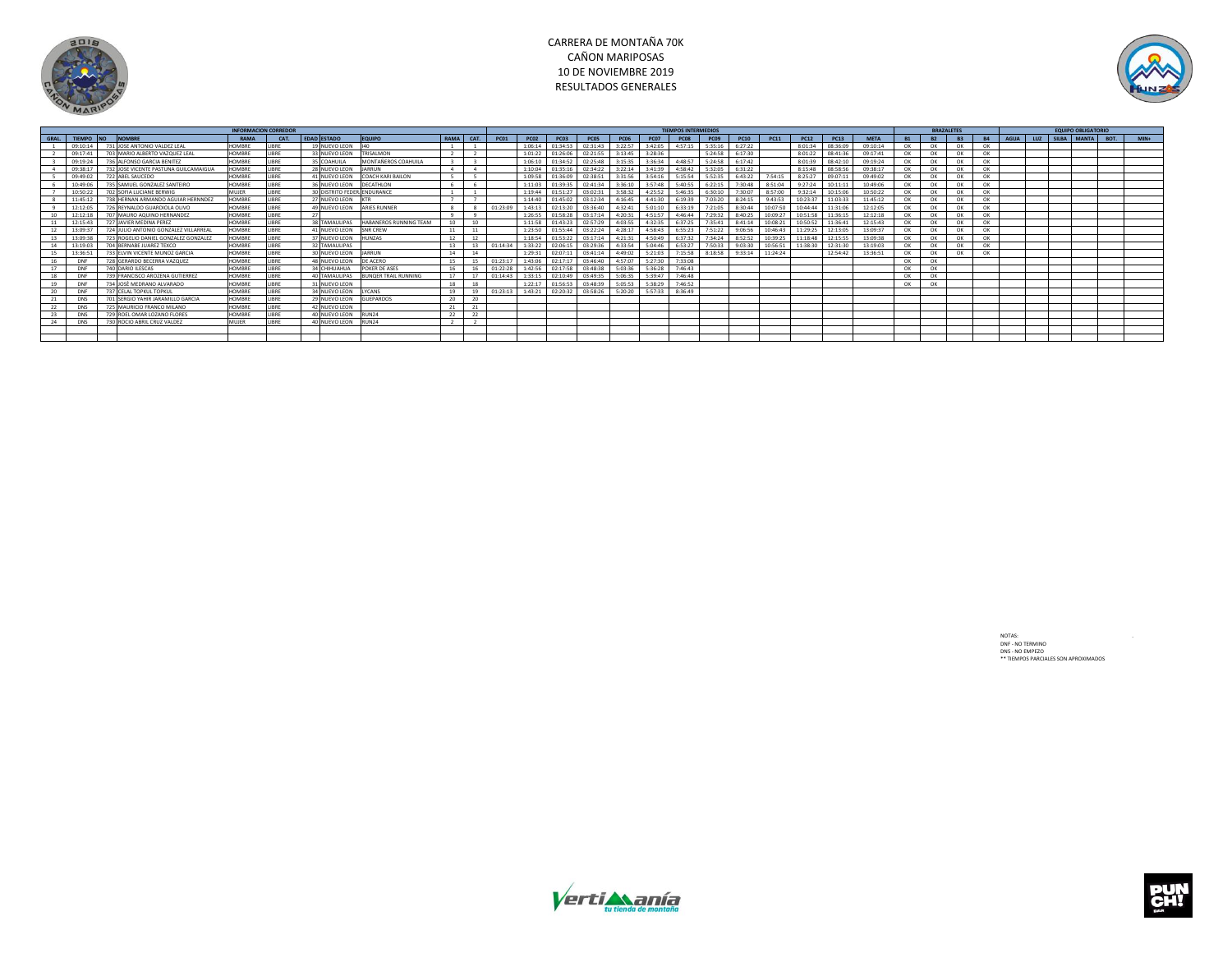

## CARRERA DE MONTAÑA 70K CAÑON MARIPOSAS 10 DE NOVIEMBRE 2019 RESULTADOS GENERALES



|       |            |                                          | <b>TIEMPOS INTERMEDIOS</b> |               |                    |                             |                             |           |    |          |             |                                                                        |                  |             |         |         | <b>BRAZALETES</b> |                   |             | <b>EQUIPO OBLIGATORIO</b> |          |             |          |           |           |           |  |                          |  |  |  |
|-------|------------|------------------------------------------|----------------------------|---------------|--------------------|-----------------------------|-----------------------------|-----------|----|----------|-------------|------------------------------------------------------------------------|------------------|-------------|---------|---------|-------------------|-------------------|-------------|---------------------------|----------|-------------|----------|-----------|-----------|-----------|--|--------------------------|--|--|--|
| GRAL. |            | TIFMPO NO NOMBRE                         | RAMA                       | CAT.          | <b>EDAD ESTADO</b> |                             | <b>EQUIPO</b>               | RAMA CAT. |    | PCD1     | <b>PC02</b> | PC03                                                                   | PCO <sub>5</sub> | <b>PC06</b> | PC07    | PC08    | PC09              | PC10              | <b>PC11</b> | <b>PC12</b>               | PC13     | <b>META</b> |          | <b>B2</b> | <b>B3</b> | <b>B4</b> |  | AGUA UUZ SILBA MANTA BOT |  |  |  |
|       |            | 09:10:14 731 JOSE ANTONIO VALDEZ LEAL    | <b>HOMRRE</b>              | <b>IRRF</b>   |                    | 19 NUEVO LEON               | <b>LAO</b>                  |           |    |          |             | 1:06:14 01:34:53 02:31:43                                              |                  | 3:22:57     | 3:42:05 | 4:57:15 | 5:35:16           | 6:27:22           |             | 8:01:34                   | 08:36:09 | 09:10:14    | $\Omega$ | OK        | $\cap$ K  | OK        |  |                          |  |  |  |
|       | 09.17.41   | 703 MARIO ALBERTO VAZQUEZ LEAL           | <b>HOMBRE</b>              | <b>IRPF</b>   |                    | 33 NUEVO LEON               | <b>TRISALMON</b>            |           |    |          |             | 1:01:22 01:26:06 02:21:55                                              |                  | 3:13:45     | 3.28.36 |         |                   | 5:24:58 6:17:30   |             | 8:01:22                   | 08:41:36 | 09:17:41    | OK       | OK        | OK        | OK        |  |                          |  |  |  |
|       | 09:19:24   | 736 ALFONSO GARCIA BENITEZ               | <b>HOMBRE</b>              | <b>IRRF</b>   |                    | 35 COAHUILA                 | MONTAÑEROS COAHUILA         |           |    |          | 1:06:10     | 01:34:52 02:25:48                                                      |                  | 3:15:35     | 3:36:34 | 4:48:57 |                   | $5:24:58$ 6:17:42 |             | 8:01:39                   | 08:42:10 | 09:19:24    | OK       | OK        | OK        | OK        |  |                          |  |  |  |
|       | 09:38:17   | 732 JOSE VICENTE PASTUNA GUILCAMAIGUA    | <b>HOMRRF</b>              | <b>IRRF</b>   |                    | 28 NUEVO LEON               | <b>IARRUN</b>               |           |    |          |             | 1:10:04 01:35:16 02:34:22                                              |                  | 3:22:14     | 3:41:39 | 4:58:42 |                   | 5:32:05 6:31:22   |             | 8:15:48                   | 08:58:56 | 09:38:17    | OK       | OK        | OK        | OK        |  |                          |  |  |  |
|       | 09:49:02   | 722 AREL SAUCEDO                         | <b>HOMBRE</b>              | <b>IRRF</b>   |                    | 41 NUEVO LEON               | COACH KARLBAILON            |           |    |          |             | 1:09:58 01:36:09 02:38:51                                              |                  | 3:31:56     | 3:54:16 | 5:15:54 |                   | 5:52:35 6:43:22   | 7.54.15     | 8:25:27                   | 09:07:11 | 09:49:02    | $\Omega$ | OK        | OK        | OK        |  |                          |  |  |  |
|       | 10:49:06   | 735 SAMUEL GONZALEZ SANTEIRO             | <b>HOMBRE</b>              | <b>IRPF</b>   |                    | 36 NUEVO LEON               | DECATHLON                   |           |    |          |             | 1:11:03 01:39:35 02:41:34                                              |                  | 3.36:10     | 3.57.48 | 5:40:55 | 6:22:15           | 7:30:48           | 8.51.04     | 9:27:24                   | 10:11:11 | 10:49:06    | $\Omega$ | OK        | $\cap$ K  | $\alpha$  |  |                          |  |  |  |
|       | 10:50:22   | 702 SOFIA LUCIANE BERWIG                 | MUJER                      | <b>IRPF</b>   |                    | 30 DISTRITO FEDER ENDURANCE |                             |           |    |          |             | 1:19:44 01:51:27 03:02:31                                              |                  | 3.58.32     | 4:25:52 | 5:46:35 |                   | 6:30:10 7:30:07   | 8:57:00     | 9:32:14                   | 10:15:06 | 10:50:22    | OK       | OK        | OK        | $\alpha$  |  |                          |  |  |  |
|       | 11:45:12   | 738 HERNAN ARMANDO AGUIAR HERNNDEZ       | <b>HOMBRE</b>              | <b>IRRF</b>   |                    | 27 NUEVO LEON KTR           |                             |           |    |          |             | 1:14:40 01:45:02 03:12:34                                              |                  | 4:16:45     | 4:41:30 | 6:19:39 | 7:03:20           | 8:24:15           | 9:43:53     | 10:23:37                  | 11:03:33 | 11:45:12    | OK       | OK        | OK        | OK        |  |                          |  |  |  |
|       | 12:12:05   | 726 REYNALDO GUARDIOLA OLIVO             | <b>HOMBRE</b>              | <b>IRRF</b>   |                    |                             | 49 NUEVO LEON ARIES RUNNER  |           |    | 01:23:09 |             | 1:43:13 02:13:20 03:36:40                                              |                  | 4:32:41     | 5:01:10 | 6:33:19 | 7:21:05           | 8:30:44           | 10:07:50    | 10:44:44                  | 11:31:06 | 12:12:05    | OK       | OK        | OK        | OK        |  |                          |  |  |  |
|       | 12:12:18   | 707 MAURO AQUINO HERNANDEZ               | <b>HOMRRF</b>              | <b>IRRF</b>   | 27                 |                             |                             |           |    |          |             | 1:26:55 01:58:28                                                       | 03:17:14         | 4:20:31     | 4:51:57 | 4:46:44 | 7:29:32           | 8:40:25           | 10:09:27    | 10:51:58                  | 11:36:15 | 12:12:18    | OK       | OK        | OK        | $\alpha$  |  |                          |  |  |  |
|       | 12:15:43   | 727 IAVIER MEDINA PEREZ                  | <b>HOMRRF</b>              | <b>IIRRF</b>  |                    | 38 TAMAULIPAS               | HARANEROS RUNNING TEAM      | 10        | 10 |          |             | 1:11:58 01:43:23 02:57:29                                              |                  | 4:03:55     | 4:32:35 | 6:37:25 | 7:35:41           | 8:41:14           | 10:08:21    | 10:50:52                  | 11:36:41 | 12:15:43    | OK       | OK        | OK        | OK        |  |                          |  |  |  |
| 12    | 13:09:37   | 724 JULIO ANTONIO GONZALEZ VILLARREA     | <b>HOMBRE</b>              | <b>IIRRF</b>  |                    | 41 NUEVO LEON SNR CREW      |                             | 11        | 11 |          |             | 1:23:50 01:55:44 03:22:24                                              |                  | 4:28:17     | 4:58:43 | 6:55:23 | 7:51:22           | 9:06:56           | 10:46:43    | 11:29:25                  | 12:13:05 | 13:09:37    | OK       | OK        | OK        | OK        |  |                          |  |  |  |
| 13    | 13:09:3    | 723 ROGELIO DANIEL GONZALEZ GONZALEZ     | <b>HOMBRE</b>              | <b>IRRF</b>   |                    | 37 NUEVO LEON HUNZAS        |                             | 12        |    |          |             | 1:18:54 01:53:22                                                       | 03:17:14         | 4:21:31     | 4:50:49 | 6:37:32 | 7.34.24           | 8:52:52           | 10:39:25    | 11:18:48                  | 12:15:55 | 13:09:38    | OK       | OK        | OK        | OK        |  |                          |  |  |  |
|       | 13:19:03   | 704 BERNABE JUAREZ TEXCO                 | <b>HOMRRF</b>              | <b>IRRF</b>   |                    | 32 TAMAULIPAS               |                             | 13        |    | 01:14:34 |             | 1:33:22 02:06:15 03:29:36                                              |                  | 4:33:54     | 5:04:46 | 6:53:27 | 7:50:33           | 9:03:30           | 10:56:51    | 11:38:30                  | 12:31:30 | 13:19:03    | OK       | OK        | OK        | OK        |  |                          |  |  |  |
| 15    | 13:36:51   | 733 ELVIN VICENTE MUNOZ GARCIA           | <b>HOMRRF</b>              | <b>IRRF</b>   |                    | 30 NUEVO LEON               | <b>IARRUN</b>               | 14        | 14 |          |             | 1:29:31 02:07:11 03:41:14                                              |                  | 4:49:02     | 5:21:03 | 7:15:58 |                   | 8:18:58 9:33:14   | 11:24:24    |                           | 12:54:42 | 13:36:51    | OK       | OK        | OK        | OK        |  |                          |  |  |  |
|       | DNF        | 728 GERARDO RECERRA VAZOUEZ              | <b>HOMRRF</b>              | <b>I IRRF</b> |                    | 48 NUEVO LEON               | DE ACERO                    | 15        |    | 01:23:17 |             | 1:43:06 02:17:17 03:46:40                                              |                  | 4:57:07     | 5:27:30 | 7.33.08 |                   |                   |             |                           |          |             | OK       | OK        |           |           |  |                          |  |  |  |
| 17    | DNF        | <b>740 DARIO ILESCAS</b>                 | <b>HOMRRF</b>              | <b>IRRF</b>   |                    | 34 CHIHUAHUA                | POKER DE ASES               | 16        |    | 01:22:28 |             | 1:42:56 02:17:58 03:48:38                                              |                  | 5:03:36     | 5:36:28 | 7.46.43 |                   |                   |             |                           |          |             | OK       | OK        |           |           |  |                          |  |  |  |
| 18    | DNF        | 739 FRANCISCO AROZENA GUITIERREZ         | <b>HOMRRF</b>              | <b>IRRF</b>   |                    | 40 TAMAULIPAS               | <b>BUNOER TRAIL RUNNING</b> | 17        |    | 01:14:43 |             | 1:33:15 02:10:49                                                       | 03:49:35         | 5:06:35     | 5-39-47 | 7.46.48 |                   |                   |             |                           |          |             | OK       | OK        |           |           |  |                          |  |  |  |
| 19    | DNF        | 734 JOSÈ MEDRANO ALVARADO                | <b>HOMRRF</b>              | <b>IRRF</b>   |                    | 31 NUEVO LEON               |                             | 18        | 18 |          | 1:22:17     | 01:56:53 03:48:39                                                      |                  | 5:05:53     | 5.38.29 | 7.46:52 |                   |                   |             |                           |          |             | OK       | OK        |           |           |  |                          |  |  |  |
| 20    | DNF        | 737 CELAL TOPKUL TOPKUL                  | <b>HOMBRE</b>              | <b>I IRRF</b> |                    | 34 NUEVO LEON LYCANS        |                             | 19        | 19 |          |             | 01:23:13   1:43:21   02:20:32   03:58:26   5:20:20   5:57:33   8:36:49 |                  |             |         |         |                   |                   |             |                           |          |             |          |           |           |           |  |                          |  |  |  |
| 21    | <b>DNS</b> | <b>701 SERGIO YAHIR JARAMILLO GARCIA</b> | <b>HOMRRF</b>              | <b>I IRRF</b> |                    | 29 NUEVO LEON               | GUEPARDOS                   | 20        | 20 |          |             |                                                                        |                  |             |         |         |                   |                   |             |                           |          |             |          |           |           |           |  |                          |  |  |  |
| 22    | <b>DNS</b> | 725 MAURICIO FRANCO MILANO               | <b>HOMRRF</b>              | <b>IRRF</b>   |                    | 42 NUEVO LEON               |                             | 21        |    |          |             |                                                                        |                  |             |         |         |                   |                   |             |                           |          |             |          |           |           |           |  |                          |  |  |  |
| 23    | <b>DNS</b> | 729 ROEL OMAR LOZANO FLORES              | <b>HOMRRF</b>              | <b>IRBE</b>   |                    | 40 NUEVO LEON               | RUN24                       | 22        | 22 |          |             |                                                                        |                  |             |         |         |                   |                   |             |                           |          |             |          |           |           |           |  |                          |  |  |  |
| 24    | <b>DNS</b> | 730 ROCIO ARRII CRUZ VALDEZ              | MUJER                      | <b>IRRF</b>   |                    | 40 NUEVO LEON RUN24         |                             |           |    |          |             |                                                                        |                  |             |         |         |                   |                   |             |                           |          |             |          |           |           |           |  |                          |  |  |  |
|       |            |                                          |                            |               |                    |                             |                             |           |    |          |             |                                                                        |                  |             |         |         |                   |                   |             |                           |          |             |          |           |           |           |  |                          |  |  |  |
|       |            |                                          |                            |               |                    |                             |                             |           |    |          |             |                                                                        |                  |             |         |         |                   |                   |             |                           |          |             |          |           |           |           |  |                          |  |  |  |

NOTAS:<br>DNF - NO TERMINO<br>DNS - NO EMPEZO<br>\*\* TIEMPOS PARCIALES SON APROXIMADOS



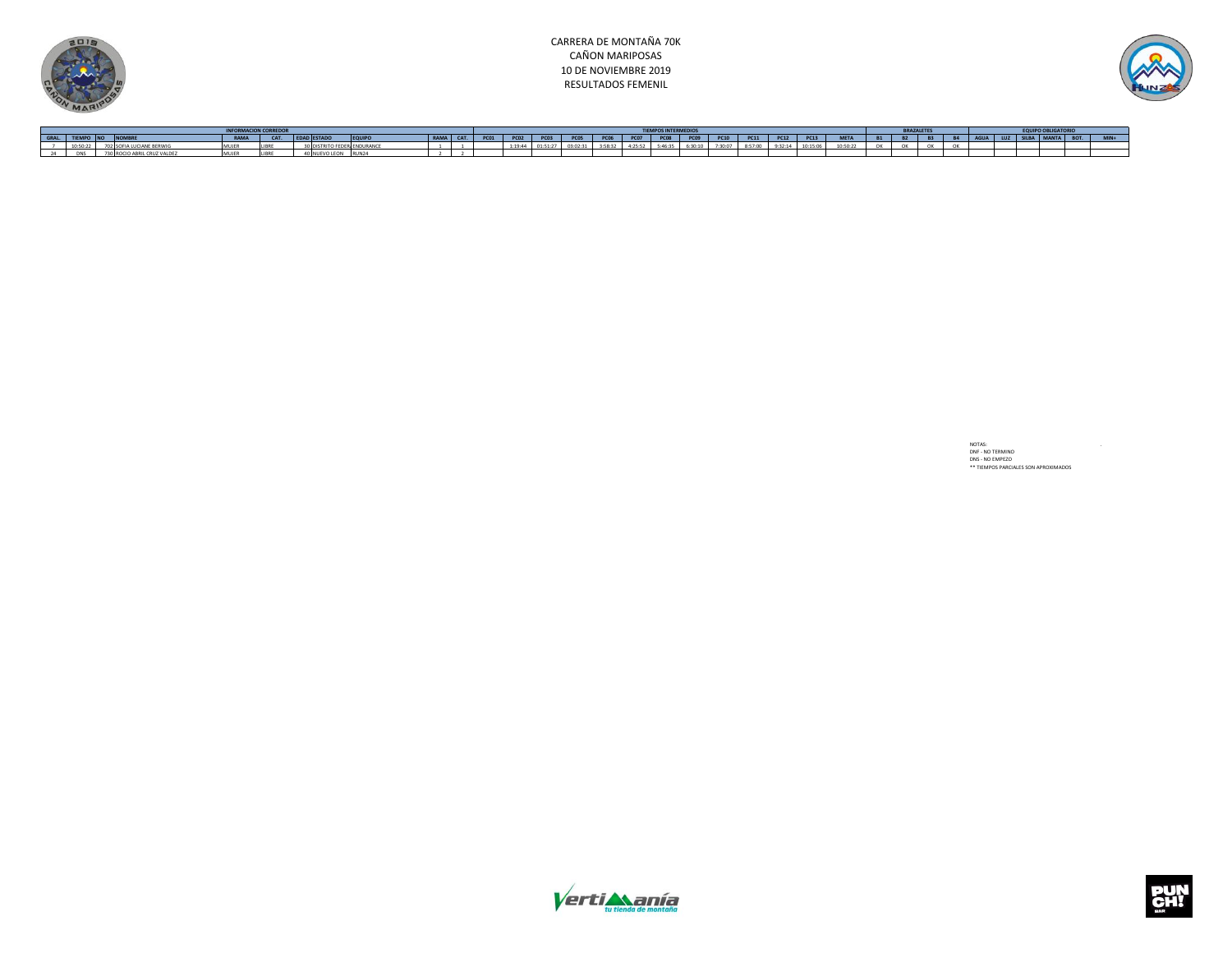



| <b>INFORMACION CORREDOP</b> |                             |      |      |                    |                  |                 |  |       |  |      |             |      |  |         |                |         |         |          |             |           |           |                |  |  |  |  |  |
|-----------------------------|-----------------------------|------|------|--------------------|------------------|-----------------|--|-------|--|------|-------------|------|--|---------|----------------|---------|---------|----------|-------------|-----------|-----------|----------------|--|--|--|--|--|
| GRAL. TIEMPO NO             |                             | RAMA | CAT. | <b>EDAD ESTADO</b> | EQUIPO           | <b>PAMA</b> CAT |  |       |  | PC05 | <b>PC06</b> | PCO7 |  |         | PC08 PC09 PC10 | PC11    | PC12    | PC13     | <b>META</b> | <b>B1</b> | <b>B2</b> | P <sub>2</sub> |  |  |  |  |  |
| 10:50:22                    |                             |      |      |                    |                  |                 |  | 0.001 |  |      | 7.50.77     |      |  | canan I | 7.20.07        | 9:57:00 | 0.22.14 | 10:15:06 | 10:50:33    | $\sim$    | $\sim$    |                |  |  |  |  |  |
| DAIC                        | 730 ROCIO ARRII CRUZ VALDEZ |      |      | I NUEVO LEON       | RUN <sub>2</sub> |                 |  |       |  |      |             |      |  |         |                |         |         |          |             |           |           |                |  |  |  |  |  |

NOTAS: .<br>DNF - NO TERMINO<br>DNS - NO EMPEZO<br>\*\* TIEMPOS PARCIALES SON APROXIMADOS